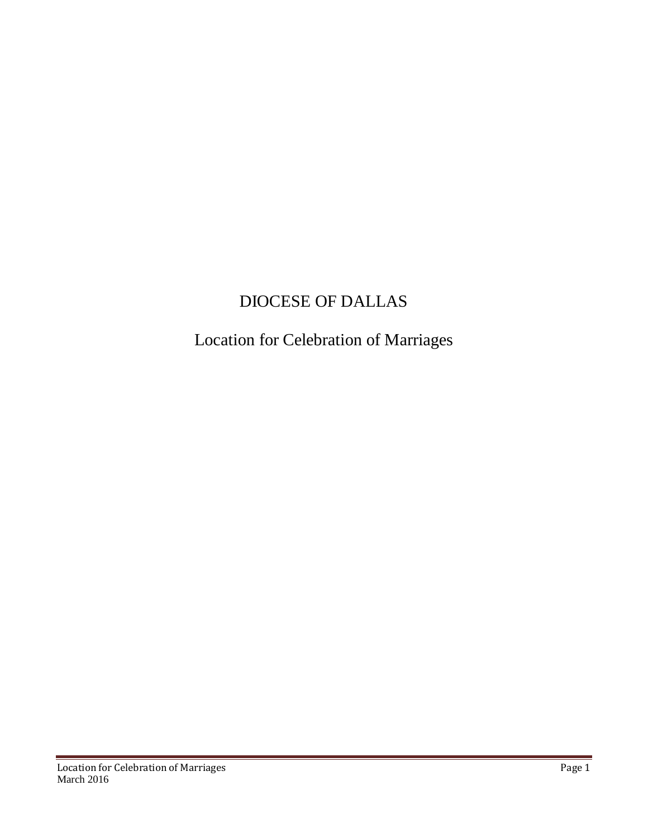# DIOCESE OF DALLAS

## Location for Celebration of Marriages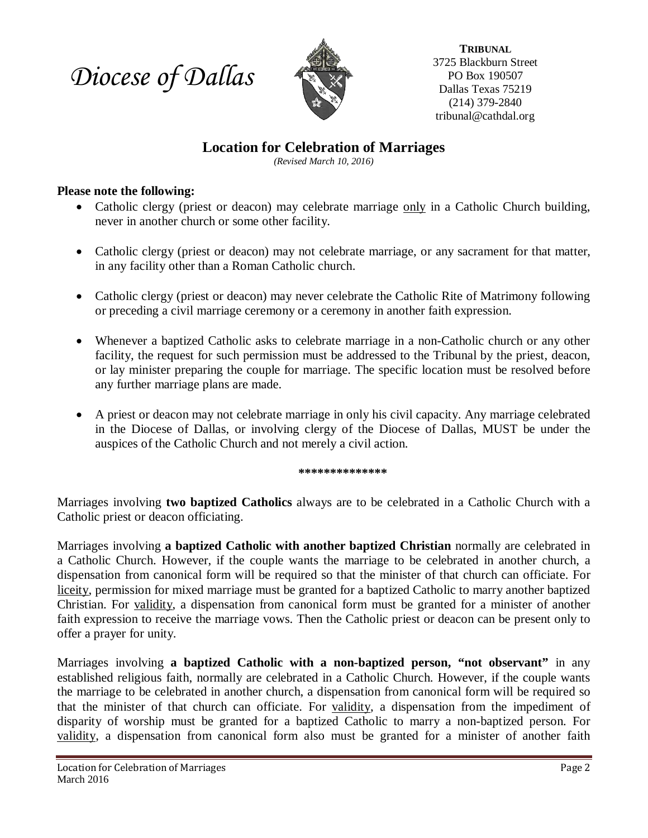*Diocese of Dallas*



**TRIBUNAL** 3725 Blackburn Street PO Box 190507 Dallas Texas 75219 (214) 379-2840 tribunal@cathdal.org

### **Location for Celebration of Marriages**

*(Revised March 10, 2016)*

### **Please note the following:**

- Catholic clergy (priest or deacon) may celebrate marriage only in a Catholic Church building, never in another church or some other facility.
- Catholic clergy (priest or deacon) may not celebrate marriage, or any sacrament for that matter, in any facility other than a Roman Catholic church.
- Catholic clergy (priest or deacon) may never celebrate the Catholic Rite of Matrimony following or preceding a civil marriage ceremony or a ceremony in another faith expression.
- Whenever a baptized Catholic asks to celebrate marriage in a non-Catholic church or any other facility, the request for such permission must be addressed to the Tribunal by the priest, deacon, or lay minister preparing the couple for marriage. The specific location must be resolved before any further marriage plans are made.
- A priest or deacon may not celebrate marriage in only his civil capacity. Any marriage celebrated in the Diocese of Dallas, or involving clergy of the Diocese of Dallas, MUST be under the auspices of the Catholic Church and not merely a civil action.

**\*\*\*\*\*\*\*\*\*\*\*\*\*\***

Marriages involving **two baptized Catholics** always are to be celebrated in a Catholic Church with a Catholic priest or deacon officiating.

Marriages involving **a baptized Catholic with another baptized Christian** normally are celebrated in a Catholic Church. However, if the couple wants the marriage to be celebrated in another church, a dispensation from canonical form will be required so that the minister of that church can officiate. For liceity, permission for mixed marriage must be granted for a baptized Catholic to marry another baptized Christian. For validity, a dispensation from canonical form must be granted for a minister of another faith expression to receive the marriage vows. Then the Catholic priest or deacon can be present only to offer a prayer for unity.

Marriages involving **a baptized Catholic with a non-baptized person, "not observant"** in any established religious faith, normally are celebrated in a Catholic Church. However, if the couple wants the marriage to be celebrated in another church, a dispensation from canonical form will be required so that the minister of that church can officiate. For validity, a dispensation from the impediment of disparity of worship must be granted for a baptized Catholic to marry a non-baptized person. For validity, a dispensation from canonical form also must be granted for a minister of another faith